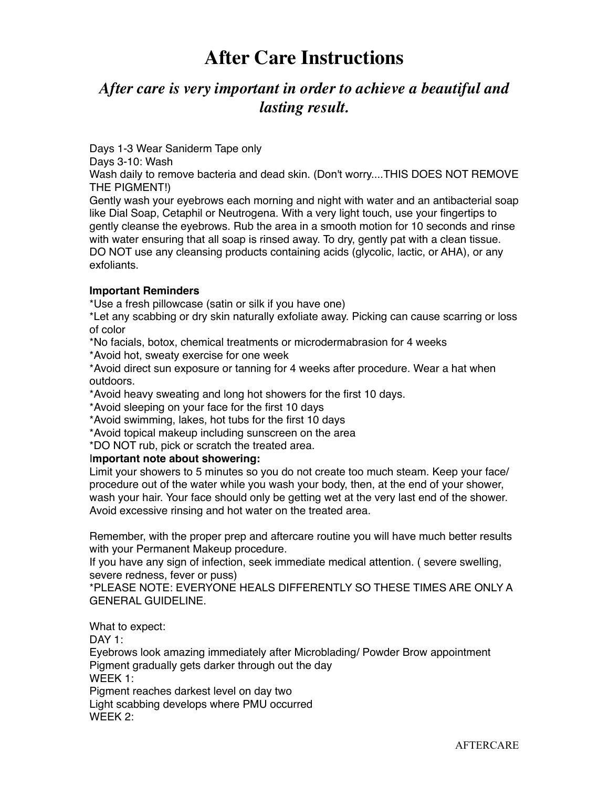## **After Care Instructions**

## *After care is very important in order to achieve a beautiful and lasting result.*

Days 1-3 Wear Saniderm Tape only Days 3-10: Wash Wash daily to remove bacteria and dead skin. (Don't worry....THIS DOES NOT REMOVE THE PIGMENT!) Gently wash your eyebrows each morning and night with water and an antibacterial soap like Dial Soap, Cetaphil or Neutrogena. With a very light touch, use your fingertips to gently cleanse the eyebrows. Rub the area in a smooth motion for 10 seconds and rinse

with water ensuring that all soap is rinsed away. To dry, gently pat with a clean tissue. DO NOT use any cleansing products containing acids (glycolic, lactic, or AHA), or any exfoliants.

## **Important Reminders**

\*Use a fresh pillowcase (satin or silk if you have one)

\*Let any scabbing or dry skin naturally exfoliate away. Picking can cause scarring or loss of color

\*No facials, botox, chemical treatments or microdermabrasion for 4 weeks

\*Avoid hot, sweaty exercise for one week

\*Avoid direct sun exposure or tanning for 4 weeks after procedure. Wear a hat when outdoors.

\*Avoid heavy sweating and long hot showers for the first 10 days.

\*Avoid sleeping on your face for the first 10 days

\*Avoid swimming, lakes, hot tubs for the first 10 days

\*Avoid topical makeup including sunscreen on the area

\*DO NOT rub, pick or scratch the treated area.

## I**mportant note about showering:**

Limit your showers to 5 minutes so you do not create too much steam. Keep your face/ procedure out of the water while you wash your body, then, at the end of your shower, wash your hair. Your face should only be getting wet at the very last end of the shower. Avoid excessive rinsing and hot water on the treated area.

Remember, with the proper prep and aftercare routine you will have much better results with your Permanent Makeup procedure.

If you have any sign of infection, seek immediate medical attention. ( severe swelling, severe redness, fever or puss)

\*PLEASE NOTE: EVERYONE HEALS DIFFERENTLY SO THESE TIMES ARE ONLY A GENERAL GUIDELINE.

What to expect:

DAY 1:

Eyebrows look amazing immediately after Microblading/ Powder Brow appointment Pigment gradually gets darker through out the day WEEK 1:

Pigment reaches darkest level on day two Light scabbing develops where PMU occurred WFFK 2: